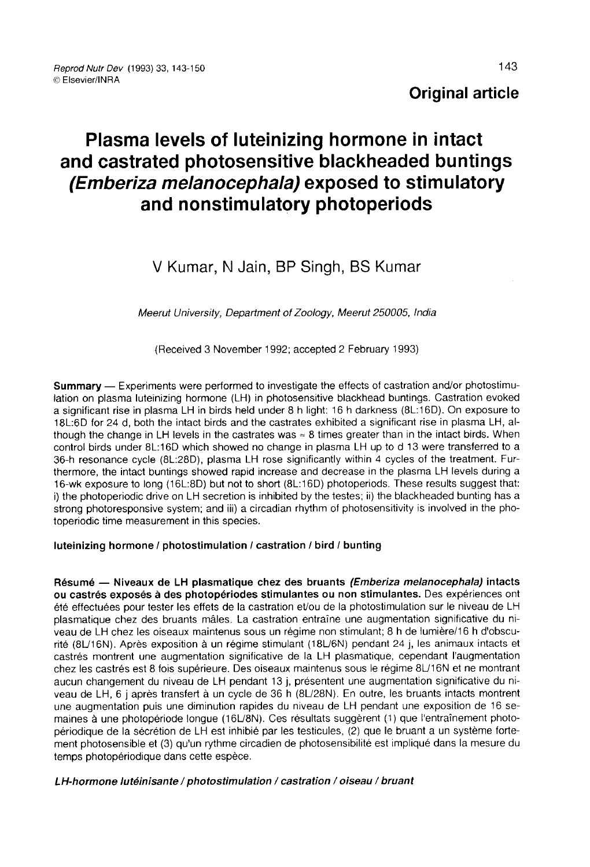## Original article

# Plasma levels of luteinizing hormone in intact and castrated photosensitive blackheaded buntings (Emberiza melanocephala) exposed to stimulatory and nonstimulatory photoperiods

## V Kumar, N Jain, BP Singh, BS Kumar

Meerut University, Department of Zoology, Meerut 250005, India

(Received 3 November 1992; accepted 2 February 1993)

Summary ― Experiments were performed to investigate the effects of castration and/or photostimulation on plasma luteinizing hormone (LH) in photosensitive blackhead buntings. Castration evoked a significant rise in plasma LH in birds held under 8 h light: 16 h darkness (8L:16D). On exposure to 18L:6D for 24 d, both the intact birds and the castrates exhibited a significant rise in plasma LH, although the change in LH levels in the castrates was  $\approx 8$  times greater than in the intact birds. When control birds under 8L:16D which showed no change in plasma LH up to d 13 were transferred to a 36-h resonance cycle (8L:28D), plasma LH rose significantly within 4 cycles of the treatment. Furthermore, the intact buntings showed rapid increase and decrease in the plasma LH levels during a 16-wk exposure to long (16L:8D) but not to short (8L:16D) photoperiods. These results suggest that: i) the photoperiodic drive on LH secretion is inhibited by the testes; ii) the blackheaded bunting has a strong photoresponsive system; and iii) a circadian rhythm of photosensitivity is involved in the photoperiodic time measurement in this species.

#### luteinizing hormone / photostimulation / castration / bird / bunting

Résumé ― Niveaux de LH plasmatique chez des bruants (Emberiza melanocephala) intacts ou castrés exposés à des photopériodes stimulantes ou non stimulantes. Des expériences ont été effectuées pour tester les effets de la castration et/ou de la photostimulation sur le niveau de LH plasmatique chez des bruants mâles. La castration entraîne une augmentation significative du niveau de LH chez les oiseaux maintenus sous un régime non stimulant; 8 h de lumière/16 h d'obscurité (8U16N). Après exposition à un régime stimulant (18U6N) pendant 24 j, les animaux intacts et castrés montrent une augmentation significative de la LH plasmatique, cependant l'augmentation chez les castrés est 8 fois supérieure. Des oiseaux maintenus sous le régime 8U16N et ne montrant aucun changement du niveau de LH pendant 13 j, présentent une augmentation significative du niveau de LH, 6 j après transfert à un cycle de 36 h (8U28N). En outre, les bruants intacts montrent une augmentation puis une diminution rapides du niveau de LH pendant une exposition de 16 semaines à une photopériode longue (16U8N). Ces résultats suggèrent (1) que l'entraînement photopériodique de la sécrétion de LH est inhibié par les testicules, (2) que le bruant a un système fortement photosensible et (3) qu'un rythme circadien de photosensibilité est impliqué dans la mesure du temps photopériodique dans cette espèce.

#### LH-hormone lutéinisante / photostimulation / castration / oiseau / bruant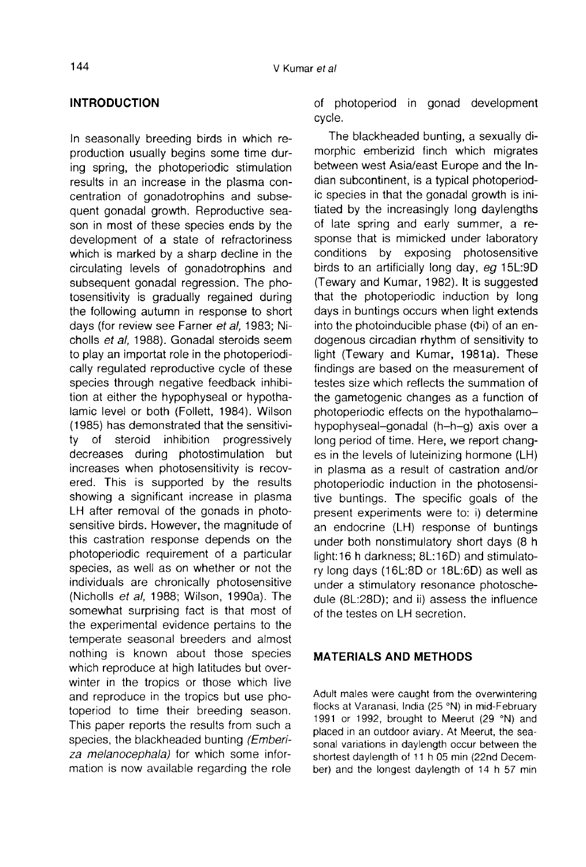## INTRODUCTION

In seasonally breeding birds in which reproduction usually begins some time during spring, the photoperiodic stimulation results in an increase in the plasma concentration of gonadotrophins and subsequent gonadal growth. Reproductive season in most of these species ends by the development of a state of refractoriness which is marked by a sharp decline in the circulating levels of gonadotrophins and subsequent gonadal regression. The photosensitivity is gradually regained during the following autumn in response to short days (for review see Farner et al, 1983; Nicholls et al, 1988). Gonadal steroids seem to play an importat role in the photoperiodically regulated reproductive cycle of these species through negative feedback inhibition at either the hypophyseal or hypothalamic level or both (Follett, 1984). Wilson (1985) has demonstrated that the sensitiviinhibition progressively decreases during photostimulation but increases when photosensitivity is recovered. This is supported by the results showing a significant increase in plasma LH after removal of the gonads in photosensitive birds. However, the magnitude of this castration response depends on the photoperiodic requirement of a particular species, as well as on whether or not the individuals are chronically photosensitive (Nicholls et al, 1988; Wilson, 1990a). The somewhat surprising fact is that most of the experimental evidence pertains to the temperate seasonal breeders and almost nothing is known about those species which reproduce at high latitudes but overwinter in the tropics or those which live and reproduce in the tropics but use photoperiod to time their breeding season. This paper reports the results from such a species, the blackheaded bunting (Emberiza melanocephala) for which some information is now available regarding the role

of photoperiod in gonad development cycle.

The blackheaded bunting, a sexually dimorphic emberizid finch which migrates between west Asia/east Europe and the Indian subcontinent, is a typical photoperiodic species in that the gonadal growth is initiated by the increasingly long daylengths of late spring and early summer, a response that is mimicked under laboratory conditions by exposing photosensitive birds to an artificially long day, eg 15L:9D (Tewary and Kumar, 1982). It is suggested that the photoperiodic induction by long days in buntings occurs when light extends into the photoinducible phase ( $\Phi$ i) of an endogenous circadian rhythm of sensitivity to light (Tewary and Kumar, 1981a). These findings are based on the measurement of testes size which reflects the summation of the gametogenic changes as a function of photoperiodic effects on the hypothalamohypophyseal-gonadal (h-h-g) axis over a long period of time. Here, we report chang es in the levels of luteinizing hormone (LH) in plasma as a result of castration and/or photoperiodic induction in the photosensitive buntings. The specific goals of the present experiments were to: i) determine an endocrine (LH) response of buntings under both nonstimulatory short days (8 h light:16 h darkness; 8L:16D) and stimulatory long days (16L:8D or 18L:6D) as well as under a stimulatory resonance photoschedule (8L:28D); and ii) assess the influence of the testes on LH secretion.

## MATERIALS AND METHODS

Adult males were caught from the overwintering flocks at Varanasi, India (25 °N) in mid-February 1991 or 1992, brought to Meerut (29 °N) and placed in an outdoor aviary. At Meerut, the seasonal variations in daylength occur between the shortest daylength of 11 h 05 min (22nd December) and the longest daylength of 14 h 57 min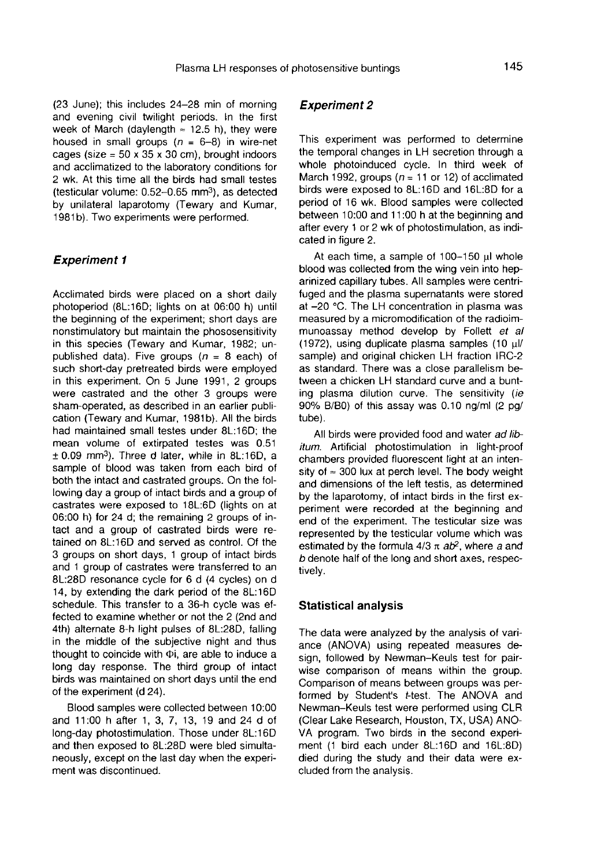(23 June); this includes 24-28 min of morning and evening civil twilight periods. In the first week of March (daylength  $\approx$  12.5 h), they were housed in small groups  $(n = 6-8)$  in wire-net cages (size =  $50 \times 35 \times 30$  cm), brought indoors and acclimatized to the laboratory conditions for 2 wk. At this time all the birds had small testes and acclimatized to the laboratory conditions for<br>2 wk. At this time all the birds had small testes<br>(testicular volume: 0.52–0.65 mm<sup>3</sup>), as detected<br>by unilateral Japarotomy (Tewary and Kumar by unilateral laparotomy (Tewary and Kumar, 1981b). Two experiments were performed.

#### **Experiment 1**

Acclimated birds were placed on a short daily photoperiod (8L:16D; lights on at 06:00 h) until the beginning of the experiment; short days are nonstimulatory but maintain the phososensitivity in this species (Tewary and Kumar, 1982; unpublished data). Five groups  $(n = 8 \text{ each})$  of such short-day pretreated birds were employed in this experiment. On 5 June 1991, 2 groups were castrated and the other 3 groups were sham-operated, as described in an earlier publication (Tewary and Kumar, 1981b). All the birds had maintained small testes under 8L:16D; the mean volume of extirpated testes was 0.51  $± 0.09$  mm<sup>3</sup>). Three d later, while in 8L:16D, a sample of blood was taken from each bird of both the intact and castrated groups. On the following day a group of intact birds and a group of castrates were exposed to 18L:6D (lights on at 06:00 h) for 24 d; the remaining 2 groups of intact and a group of castrated birds were retained on 8L:16D and served as control. Of the 3 groups on short days, 1 group of intact birds and 1 group of castrates were transferred to an 8L:28D resonance cycle for 6 d (4 cycles) on d 14, by extending the dark period of the 8L:16D schedule. This transfer to a 36-h cycle was effected to examine whether or not the 2 (2nd and 4th) alternate 8-h light pulses of 8L:28D, falling in the middle of the subjective night and thus thought to coincide with  $\Phi$ i, are able to induce a long day response. The third group of intact birds was maintained on short days until the end of the experiment (d 24).

Blood samples were collected between 10:00 and 11:00 h after 1, 3, 7, 13, 19 and 24 d of long-day photostimulation. Those under 8L:16D and then exposed to 8L:28D were bled simultaneously, except on the last day when the experi ment was discontinued.

#### Experiment 2

This experiment was performed to determine the temporal changes in LH secretion through a whole photoinduced cycle. In third week of March 1992, groups ( $n = 11$  or 12) of acclimated birds were exposed to 8L:16D and 16L:8D for a period of 16 wk. Blood samples were collected between 10:00 and 11:00 h at the beginning and after every 1 or 2 wk of photostimulation, as indicated in figure 2.

At each time, a sample of  $100-150$   $\mu$ l whole blood was collected from the wing vein into heparinized capillary tubes. All samples were centrifuged and the plasma supernatants were stored at -20 °C. The LH concentration in plasma was measured by a micromodification of the radioimmunoassay method develop by Follett et al (1972), using duplicate plasma samples (10  $\mu$ l/ sample) and original chicken LH fraction IRC-2 as standard. There was a close parallelism between a chicken LH standard curve and a bunting plasma dilution curve. The sensitivity (ie 90% B/BO) of this assay was 0.10 ng/ml (2 pg/ tube).

All birds were provided food and water ad libitum. Artificial photostimulation in light-proof chambers provided fluorescent light at an intensity of  $\approx$  300 lux at perch level. The body weight and dimensions of the left testis, as determined by the laparotomy, of intact birds in the first experiment were recorded at the beginning and end of the experiment. The testicular size was represented by the testicular volume which was estimated by the formula  $4/3 \pi$  ab<sup>2</sup>, where a and b denote half of the long and short axes, respectively.

#### Statistical analysis

The data were analyzed by the analysis of variance (ANOVA) using repeated measures design, followed by Newman-Keuls test for pairwise comparison of means within the group. Comparison of means between groups was performed by Student's t-test. The ANOVA and Newman-Keuls test were performed using CLR (Clear Lake Research, Houston, TX, USA) ANO-VA program. Two birds in the second experi ment (1 bird each under 8L:16D and 16L:8D) died during the study and their data were excluded from the analysis.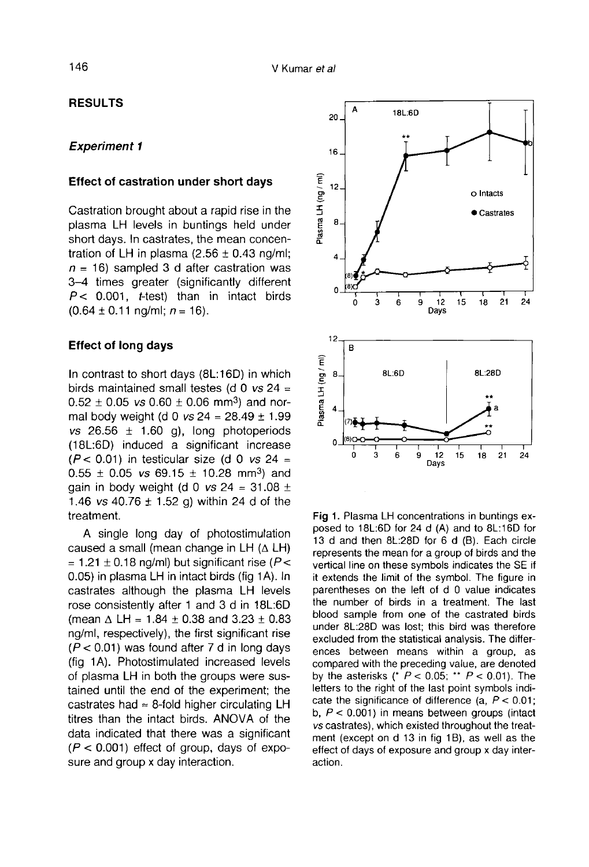## RESULTS

## Experiment 1

#### Effect of castration under short days

Castration brought about a rapid rise in the plasma LH levels in buntings held under short days. In castrates, the mean concentration of LH in plasma  $(2.56 \pm 0.43 \text{ ng/m})$ ;  $n = 16$ ) sampled 3 d after castration was 3-4 times greater (significantly different  $P < 0.001$ , *t*-test) than in intact birds  $(0.64 \pm 0.11 \text{ nq/ml}; n = 16)$ .

## Effect of long days

In contrast to short days (8L:16D) in which birds maintained small testes (d 0 vs 24 = ontrast to short days (8L:16D) in which<br>birds maintained small testes (d 0 vs 24 =<br>0.52 ± 0.05 vs 0.60 ± 0.06 mm<sup>3</sup>) and nor-<br>mal body weight (d 0 vs 24 = 28.49 + 1.99 mal body weight (d 0  $\text{vs } 24 = 28.49 \pm 1.99$ vs  $26.56 \pm 1.60$  g), long photoperiods (18L:6D) induced a significant increase ( $P$  < 0.01) in testicular size (d 0 *vs* 24 = (16L:6D) in testicular size (d 0 vs 24 = 0.55  $\pm$  0.05 vs 69.15  $\pm$  10.28 mm<sup>3</sup>) and<br>gain in body weight (d 0 vs 24 = 31.08 + gain in body weight (d 0  $\text{vs } 24 = 31.08 \pm \text{m}$ 1.46 vs 40.76  $\pm$  1.52 g) within 24 d of the treatment.

A single long day of photostimulation caused a small (mean change in LH  $( \Delta H)$ ) = 1.21  $\pm$  0.18 ng/ml) but significant rise (P < 0.05) in plasma LH in intact birds (fig 1A). In castrates although the plasma LH levels rose consistently after 1 and 3 d in 18L:6D (mean  $\triangle$  LH = 1.84  $\pm$  0.38 and 3.23  $\pm$  0.83 ng/ml, respectively), the first significant rise  $(P < 0.01)$  was found after 7 d in long days (fig 1 A). Photostimulated increased levels of plasma LH in both the groups were sustained until the end of the experiment; the castrates had  $\approx$  8-fold higher circulating LH titres than the intact birds. ANOVA of the data indicated that there was a significant  $(P < 0.001)$  effect of group, days of exposure and group x day interaction.



Fig 1. Plasma LH concentrations in buntings exposed to 18L:6D for 24 d (A) and to 8L:16D for 13 d and then 8L:28D for 6 d (B). Each circle represents the mean for a group of birds and the vertical line on these symbols indicates the SE if it extends the limit of the symbol. The figure in parentheses on the left of d 0 value indicates the number of birds in a treatment. The last blood sample from one of the castrated birds under 8L:28D was lost; this bird was therefore excluded from the statistical analysis. The differences between means within a group, as compared with the preceding value, are denoted by the asterisks (\*  $P < 0.05$ ; \*\*  $P < 0.01$ ). The letters to the right of the last point symbols indicate the significance of difference (a,  $P < 0.01$ ; b,  $P < 0.001$ ) in means between groups (intact vs castrates), which existed throughout the treatment (except on d 13 in fig 1B), as well as the effect of days of exposure and group x day interaction.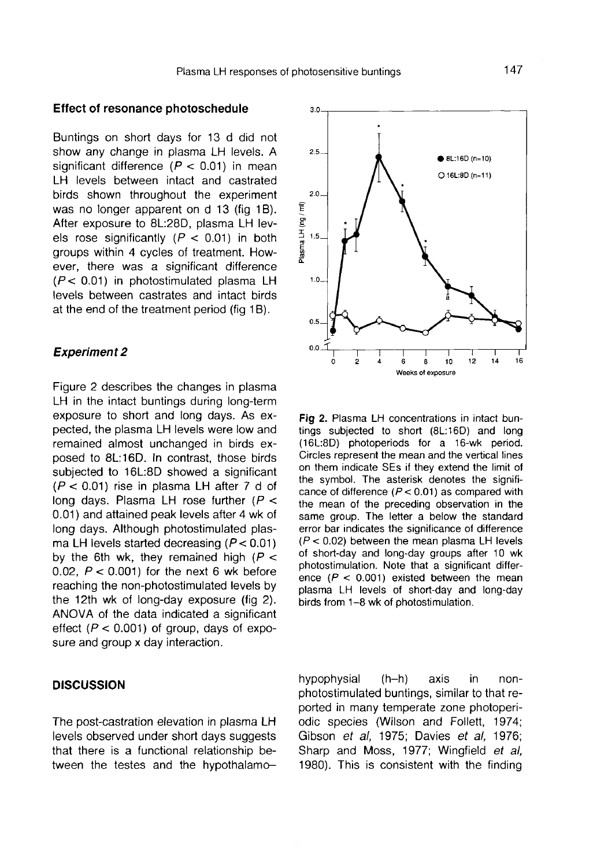$30$ 

#### Effect of resonance photoschedule

Buntings on short days for 13 d did not show any change in plasma LH levels. A significant difference  $(P < 0.01)$  in mean LH levels between intact and castrated birds shown throughout the experiment was no longer apparent on d 13 (fig 1B). After exposure to 8L:28D, plasma LH levels rose significantly  $(P < 0.01)$  in both groups within 4 cycles of treatment. However, there was a significant difference  $(P < 0.01)$  in photostimulated plasma LH levels between castrates and intact birds at the end of the treatment period (fig 1B).

#### Experiment 2

Figure 2 describes the changes in plasma LH in the intact buntings during long-term exposure to short and long days. As expected, the plasma LH levels were low and remained almost unchanged in birds exposed to 8L:16D. In contrast, those birds subjected to 16L:8D showed a significant  $(P < 0.01)$  rise in plasma LH after 7 d of long days. Plasma LH rose further  $(P <$ 0.01) and attained peak levels after 4 wk of long days. Although photostimulated plasma LH levels started decreasing ( $P < 0.01$ ) by the 6th wk, they remained high ( $P <$ 0.02,  $P < 0.001$ ) for the next 6 wk before reaching the non-photostimulated levels by the 12th wk of long-day exposure (fig 2). ANOVA of the data indicated a significant effect ( $P < 0.001$ ) of group, days of exposure and group x day interaction.

## **DISCUSSION**

The post-castration elevation in plasma LH levels observed under short days suggests that there is a functional relationship between the testes and the hypothalamo-

 $2.5 -$ 8L:16D (n=10)  $O$  16L:8D (n=11)  $2.0.$ lasma LH (ng / ml)  $1.5.$  $1.0.$  $0.5$  $0.0$  $\ddot{\bf{6}}$ 10  $12$ 14 16  $\mathbf{a}$ Weeks of exposure Fig 2. Plasma LH concentrations in intact bun-

tings subjected to short (8L:16D) and long (16L:8D) photoperiods for a 16-wk period. Circles represent the mean and the vertical lines on them indicate SEs if they extend the limit of the symbol. The asterisk denotes the significance of difference ( $P < 0.01$ ) as compared with the mean of the preceding observation in the same group. The letter a below the standard error bar indicates the significance of difference  $(P < 0.02)$  between the mean plasma LH levels of short-day and long-day groups after 10 wk photostimulation. Note that a significant difference ( $P < 0.001$ ) existed between the mean plasma LH levels of short-day and long-day birds from 1-8 wk of photostimulation.

hypophysial (h-h) axis in nonphotostimulated buntings, similar to that reported in many temperate zone photoperiodic species (Wilson and Follett, 1974; Gibson et al, 1975; Davies et al, 1976; Sharp and Moss, 1977; Wingfield et al, 1980). This is consistent with the finding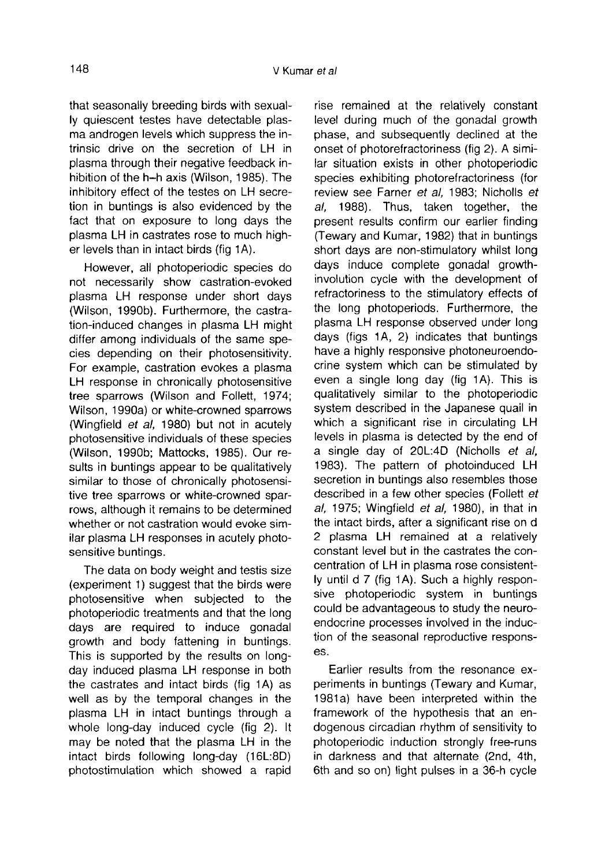that seasonally breeding birds with sexual-<br>Iv quiescent testes have detectable plasma androgen levels which suppress the intrinsic drive on the secretion of LH in plasma through their negative feedback inhibition of the h-h axis (Wilson, 1985). The inhibitory effect of the testes on LH secretion in buntings is also evidenced by the fact that on exposure to long days the plasma LH in castrates rose to much high er levels than in intact birds (fig 1A).

However, all photoperiodic species do not necessarily show castration-evoked plasma LH response under short days (Wilson, 1990b). Furthermore, the castration-induced changes in plasma LH might differ among individuals of the same species depending on their photosensitivity. For example, castration evokes a plasma LH response in chronically photosensitive tree sparrows (Wilson and Follett, 1974; Wilson, 1990a) or white-crowned sparrows (Wingfield et al, 1980) but not in acutely photosensitive individuals of these species (Wilson, 1990b; Mattocks, 1985). Our results in buntings appear to be qualitatively similar to those of chronically photosensitive tree sparrows or white-crowned sparrows, although it remains to be determined whether or not castration would evoke similar plasma LH responses in acutely photosensitive buntings.

The data on body weight and testis size (experiment 1) suggest that the birds were photosensitive when subjected to the photoperiodic treatments and that the long days are required to induce gonadal growth and body fattening in buntings. This is supported by the results on longday induced plasma LH response in both the castrates and intact birds (fig 1A) as well as by the temporal changes in the plasma LH in intact buntings through a whole long-day induced cycle (fig 2). It may be noted that the plasma LH in the intact birds following long-day (16L:8D) photostimulation which showed a rapid

rise remained at the relatively constant level during much of the gonadal growth phase, and subsequently declined at the onset of photorefractoriness (fig 2). A similar situation exists in other photoperiodic species exhibiting photorefractoriness (for review see Farner et al, 1983; Nicholls et al, 1988). Thus, taken together, the present results confirm our earlier finding (Tewary and Kumar, 1982) that in buntings short days are non-stimulatory whilst long days induce complete gonadal growthinvolution cycle with the development of refractoriness to the stimulatory effects of the long photoperiods. Furthermore, the plasma LH response observed under long days (figs 1A, 2) indicates that buntings have a highly responsive photoneuroendocrine system which can be stimulated by even a single long day (fig 1A). This is qualitatively similar to the photoperiodic system described in the Japanese quail in which a significant rise in circulating LH levels in plasma is detected by the end of a single day of 20L:4D (Nicholls et al. 1983). The pattern of photoinduced LH secretion in buntings also resembles those described in a few other species (Follett et al, 1975; Wingfield et al, 1980), in that in the intact birds, after a significant rise on d 2 plasma LH remained at a relatively constant level but in the castrates the concentration of LH in plasma rose consistently until d 7 (fig 1A). Such a highly responsive photoperiodic system in buntings could be advantageous to study the neuroendocrine processes involved in the induction of the seasonal reproductive responses.

Earlier results from the resonance experiments in buntings (Tewary and Kumar, 1981a) have been interpreted within the framework of the hypothesis that an endogenous circadian rhythm of sensitivity to photoperiodic induction strongly free-runs in darkness and that alternate (2nd, 4th, 6th and so on) light pulses in a 36-h cycle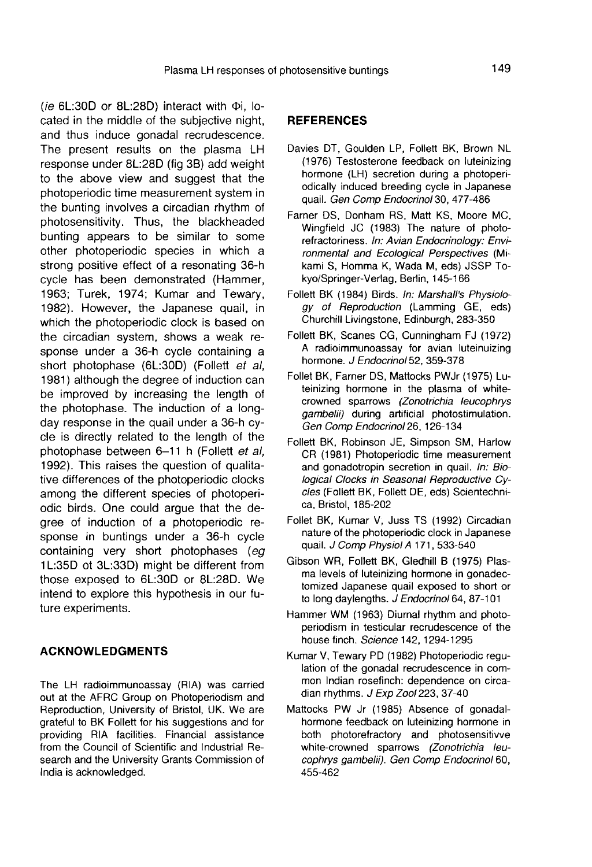( $ie$  6L:30D or 8L:28D) interact with  $\Phi$ i, located in the middle of the subjective night, and thus induce gonadal recrudescence. The present results on the plasma LH response under 8L:28D (fig 3B) add weight to the above view and suggest that the photoperiodic time measurement system in the bunting involves a circadian rhythm of photosensitivity. Thus, the blackheaded bunting appears to be similar to some other photoperiodic species in which a strong positive effect of a resonating 36-h cycle has been demonstrated (Hammer, 1963; Turek, 1974; Kumar and Tewary, 1982). However, the Japanese quail, in which the photoperiodic clock is based on the circadian system, shows a weak response under a 36-h cycle containing a short photophase (6L:30D) (Follett et al, 1981) although the degree of induction can be improved by increasing the length of the photophase. The induction of a longday response in the quail under a 36-h cycle is directly related to the length of the photophase between 6-11 h (Follett et al, 1992). This raises the question of qualitative differences of the photoperiodic clocks among the different species of photoperiodic birds. One could argue that the degree of induction of a photoperiodic response in buntings under a 36-h cycle containing very short photophases (eg 1 L:35D ot 3L:33D) might be different from those exposed to 6L:30D or 8L:28D. We intend to explore this hypothesis in our future experiments.

#### ACKNOWLEDGMENTS

The LH radioimmunoassay (RIA) was carried out at the AFRC Group on Photoperiodism and Reproduction, University of Bristol, UK. We are grateful to BK Follett for his suggestions and for providing RIA facilities. Financial assistance from the Council of Scientific and Industrial Research and the University Grants Commission of India is acknowledged.

## **REFERENCES**

- Davies DT, Goulden LP, Follett BK, Brown NL (1976) Testosterone feedback on luteinizing hormone (LH) secretion during a photoperiodically induced breeding cycle in Japanese quail. Gen Comp Endocrinol 30, 477-486
- Farner DS, Donham RS, Matt KS, Moore MC, Wingfield JC (1983) The nature of photorefractoriness. In: Avian Endocrinology: Environmental and Ecological Perspectives (Mikami S, Homma K, Wada M, eds) JSSP Tokyo/Springer-Verlag, Berlin, 145-166
- Follett BK (1984) Birds. In: Marshall's Physiology of Reproduction (Lamming GE, eds) Churchill Livingstone, Edinburgh, 283-350
- Follett BK, Scanes CG, Cunningham FJ (1972) A radioimmunoassay for avian luteinuizing hormone. J Endocrinol 52, 359-378
- Follet BK, Farner DS, Mattocks PWJr (1975) Luteinizing hormone in the plasma of whitecrowned sparrows (Zonotrichia leucophrys gambelii) during artificial photostimulation. Gen Comp Endocrinol26, 126-134
- Follett BK, Robinson JE, Simpson SM, Harlow CR (1981) Photoperiodic time measurement and gonadotropin secretion in quail. In: Biological Clocks in Seasonal Reproductive Cycles (Follett BK, Follett DE, eds) Scientechnica, Bristol, 185-202
- Follet BK, Kumar V, Juss TS (1992) Circadian nature of the photoperiodic clock in Japanese quail. J Comp Physiol A 171, 533-540
- Gibson WR, Follett BK, Gledhill B (1975) Plasma levels of luteinizing hormone in gonadectomized Japanese quail exposed to short or to long daylengths. J Endocrinol 64, 87-101
- Hammer WM (1963) Diurnal rhythm and photoperiodism in testicular recrudescence of the house finch. Science 142, 1294-1295
- Kumar V, Tewary PD (1982) Photoperiodic regulation of the gonadal recrudescence in common Indian rosefinch: dependence on circadian rhythms. J Exp Zool 223, 37-40
- Mattocks PW Jr (1985) Absence of gonadalhormone feedback on luteinizing hormone in both photorefractory and photosensitivve white-crowned sparrows (Zonotrichia leucophrys gambelii). Gen Comp Endocrinol 60, 455-462